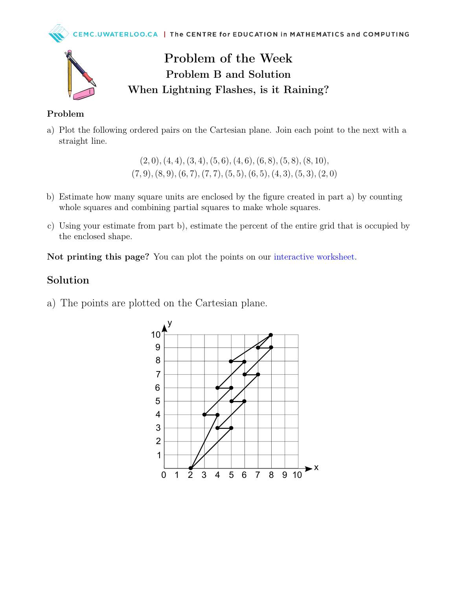



## Problem of the Week Problem B and Solution When Lightning Flashes, is it Raining?

## Problem

a) Plot the following ordered pairs on the Cartesian plane. Join each point to the next with a straight line.

> $(2, 0), (4, 4), (3, 4), (5, 6), (4, 6), (6, 8), (5, 8), (8, 10),$  $(7, 9), (8, 9), (6, 7), (7, 7), (5, 5), (6, 5), (4, 3), (5, 3), (2, 0)$

- b) Estimate how many square units are enclosed by the figure created in part a) by counting whole squares and combining partial squares to make whole squares.
- c) Using your estimate from part b), estimate the percent of the entire grid that is occupied by the enclosed shape.

Not printing this page? You can plot the points on our [interactive worksheet.](https://www.geogebra.org/m/uv88nua6)

## Solution

a) The points are plotted on the Cartesian plane.